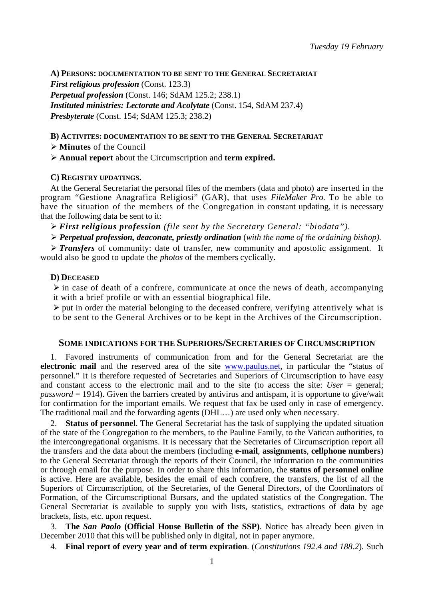**A) PERSONS: DOCUMENTATION TO BE SENT TO THE GENERAL SECRETARIAT**

*First religious profession* (Const. 123.3)

*Perpetual profession* (Const. 146; SdAM 125.2; 238.1)

*Instituted ministries: Lectorate and Acolytate* (Const. 154, SdAM 237.4)

*Presbyterate* (Const. 154; SdAM 125.3; 238.2)

## **B) ACTIVITES: DOCUMENTATION TO BE SENT TO THE GENERAL SECRETARIAT**

¾ **Minutes** of the Council

¾ **Annual report** about the Circumscription and **term expired.**

## **C) REGISTRY UPDATINGS.**

At the General Secretariat the personal files of the members (data and photo) are inserted in the program "Gestione Anagrafica Religiosi" (GAR), that uses *FileMaker Pro.* To be able to have the situation of the members of the Congregation in constant updating, it is necessary that the following data be sent to it:

¾ *First religious profession (file sent by the Secretary General: "biodata").*

¾ *Perpetual profession, deaconate, priestly ordination* (*with the name of the ordaining bishop).* 

¾ *Transfers* of community: date of transfer, new community and apostolic assignment. It would also be good to update the *photos* of the members cyclically.

## **D) DECEASED**

 $\triangleright$  in case of death of a confrere, communicate at once the news of death, accompanying it with a brief profile or with an essential biographical file.

 $\triangleright$  put in order the material belonging to the deceased confrere, verifying attentively what is to be sent to the General Archives or to be kept in the Archives of the Circumscription.

## **SOME INDICATIONS FOR THE SUPERIORS/SECRETARIES OF CIRCUMSCRIPTION**

1. Favored instruments of communication from and for the General Secretariat are the **electronic mail** and the reserved area of the site www.paulus.net, in particular the "status of personnel." It is therefore requested of Secretaries and Superiors of Circumscription to have easy and constant access to the electronic mail and to the site (to access the site:  $User = general$ ; *password* = 1914). Given the barriers created by antivirus and antispam, it is opportune to give/wait for confirmation for the important emails. We request that fax be used only in case of emergency. The traditional mail and the forwarding agents (DHL…) are used only when necessary.

2. **Status of personnel**. The General Secretariat has the task of supplying the updated situation of the state of the Congregation to the members, to the Pauline Family, to the Vatican authorities, to the intercongregational organisms. It is necessary that the Secretaries of Circumscription report all the transfers and the data about the members (including **e-mail**, **assignments**, **cellphone numbers**) to the General Secretariat through the reports of their Council, the information to the communities or through email for the purpose. In order to share this information, the **status of personnel online**  is active. Here are available, besides the email of each confrere, the transfers, the list of all the Superiors of Circumscription, of the Secretaries, of the General Directors, of the Coordinators of Formation, of the Circumscriptional Bursars, and the updated statistics of the Congregation. The General Secretariat is available to supply you with lists, statistics, extractions of data by age brackets, lists, etc. upon request.

3. **The** *San Paolo* **(Official House Bulletin of the SSP)**. Notice has already been given in December 2010 that this will be published only in digital, not in paper anymore.

4. **Final report of every year and of term expiration**. (*Constitutions 192.4 and 188.2*)*.* Such